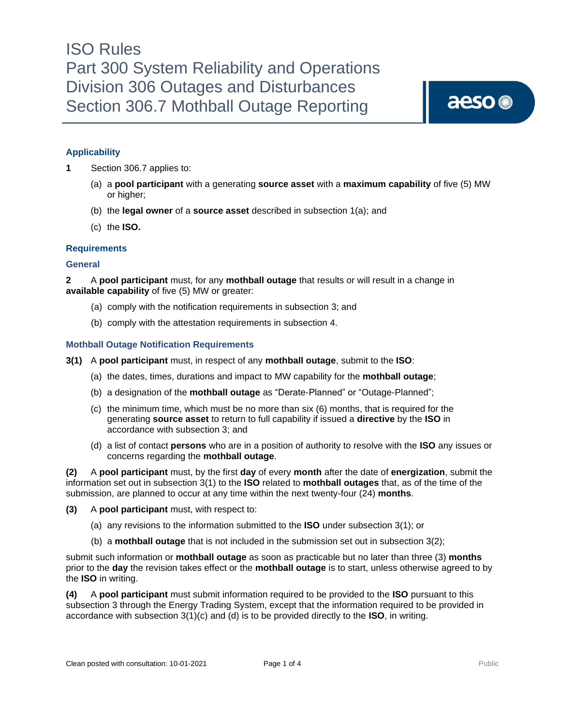### **Applicability**

**1** Section 306.7 applies to:

- (a) a **pool participant** with a generating **source asset** with a **maximum capability** of five (5) MW or higher;
- (b) the **legal owner** of a **source asset** described in subsection 1(a); and
- (c) the **ISO.**

#### **Requirements**

#### **General**

**2** A **pool participant** must, for any **mothball outage** that results or will result in a change in **available capability** of five (5) MW or greater:

- (a) comply with the notification requirements in subsection 3; and
- (b) comply with the attestation requirements in subsection 4.

#### **Mothball Outage Notification Requirements**

- **3(1)** A **pool participant** must, in respect of any **mothball outage**, submit to the **ISO**:
	- (a) the dates, times, durations and impact to MW capability for the **mothball outage**;
	- (b) a designation of the **mothball outage** as "Derate-Planned" or "Outage-Planned";
	- (c) the minimum time, which must be no more than six (6) months, that is required for the generating **source asset** to return to full capability if issued a **directive** by the **ISO** in accordance with subsection 3; and
	- (d) a list of contact **persons** who are in a position of authority to resolve with the **ISO** any issues or concerns regarding the **mothball outage**.

**(2)** A **pool participant** must, by the first **day** of every **month** after the date of **energization**, submit the information set out in subsection 3(1) to the **ISO** related to **mothball outages** that, as of the time of the submission, are planned to occur at any time within the next twenty-four (24) **months**.

- **(3)** A **pool participant** must, with respect to:
	- (a) any revisions to the information submitted to the **ISO** under subsection 3(1); or
	- (b) a **mothball outage** that is not included in the submission set out in subsection 3(2);

submit such information or **mothball outage** as soon as practicable but no later than three (3) **months** prior to the **day** the revision takes effect or the **mothball outage** is to start, unless otherwise agreed to by the **ISO** in writing.

**(4)** A **pool participant** must submit information required to be provided to the **ISO** pursuant to this subsection 3 through the Energy Trading System, except that the information required to be provided in accordance with subsection 3(1)(c) and (d) is to be provided directly to the **ISO**, in writing.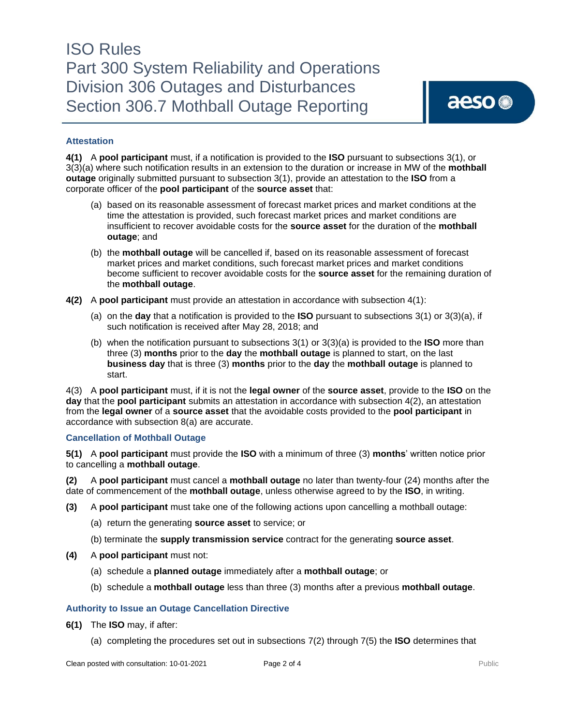### ISO Rules Part 300 System Reliability and Operations Division 306 Outages and Disturbances Section 306.7 Mothball Outage Reporting

#### **Attestation**

**4(1)** A **pool participant** must, if a notification is provided to the **ISO** pursuant to subsections 3(1), or 3(3)(a) where such notification results in an extension to the duration or increase in MW of the **mothball outage** originally submitted pursuant to subsection 3(1), provide an attestation to the **ISO** from a corporate officer of the **pool participant** of the **source asset** that:

- (a) based on its reasonable assessment of forecast market prices and market conditions at the time the attestation is provided, such forecast market prices and market conditions are insufficient to recover avoidable costs for the **source asset** for the duration of the **mothball outage**; and
- (b) the **mothball outage** will be cancelled if, based on its reasonable assessment of forecast market prices and market conditions, such forecast market prices and market conditions become sufficient to recover avoidable costs for the **source asset** for the remaining duration of the **mothball outage**.
- **4(2)** A **pool participant** must provide an attestation in accordance with subsection 4(1):
	- (a) on the **day** that a notification is provided to the **ISO** pursuant to subsections 3(1) or 3(3)(a), if such notification is received after May 28, 2018; and
	- (b) when the notification pursuant to subsections 3(1) or 3(3)(a) is provided to the **ISO** more than three (3) **months** prior to the **day** the **mothball outage** is planned to start, on the last **business day** that is three (3) **months** prior to the **day** the **mothball outage** is planned to start.

4(3) A **pool participant** must, if it is not the **legal owner** of the **source asset**, provide to the **ISO** on the **day** that the **pool participant** submits an attestation in accordance with subsection 4(2), an attestation from the **legal owner** of a **source asset** that the avoidable costs provided to the **pool participant** in accordance with subsection 8(a) are accurate.

#### **Cancellation of Mothball Outage**

**5(1)** A **pool participant** must provide the **ISO** with a minimum of three (3) **months**' written notice prior to cancelling a **mothball outage**.

**(2)** A **pool participant** must cancel a **mothball outage** no later than twenty-four (24) months after the date of commencement of the **mothball outage**, unless otherwise agreed to by the **ISO**, in writing.

- **(3)** A **pool participant** must take one of the following actions upon cancelling a mothball outage:
	- (a) return the generating **source asset** to service; or
	- (b) terminate the **supply transmission service** contract for the generating **source asset**.
- **(4)** A **pool participant** must not:
	- (a) schedule a **planned outage** immediately after a **mothball outage**; or
	- (b) schedule a **mothball outage** less than three (3) months after a previous **mothball outage**.

#### **Authority to Issue an Outage Cancellation Directive**

- **6(1)** The **ISO** may, if after:
	- (a) completing the procedures set out in subsections 7(2) through 7(5) the **ISO** determines that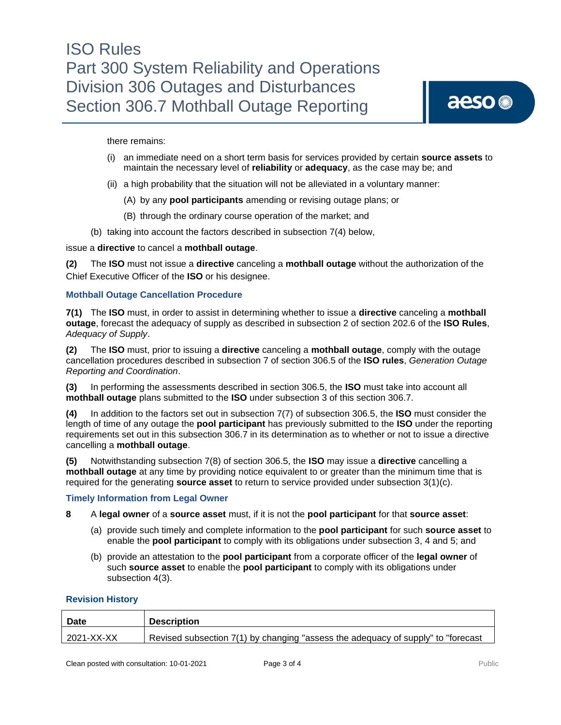there remains:

- (i) an immediate need on a short term basis for services provided by certain **source assets** to maintain the necessary level of **reliability** or **adequacy**, as the case may be; and
- (ii) a high probability that the situation will not be alleviated in a voluntary manner:
	- (A) by any **pool participants** amending or revising outage plans; or
	- (B) through the ordinary course operation of the market; and
- (b) taking into account the factors described in subsection 7(4) below,

#### issue a **directive** to cancel a **mothball outage**.

**(2)** The **ISO** must not issue a **directive** canceling a **mothball outage** without the authorization of the Chief Executive Officer of the **ISO** or his designee.

#### **Mothball Outage Cancellation Procedure**

**7(1)** The **ISO** must, in order to assist in determining whether to issue a **directive** canceling a **mothball outage**, forecast the adequacy of supply as described in subsection 2 of section 202.6 of the **ISO Rules**, *Adequacy of Supply*.

**(2)** The **ISO** must, prior to issuing a **directive** canceling a **mothball outage**, comply with the outage cancellation procedures described in subsection 7 of section 306.5 of the **ISO rules**, *Generation Outage Reporting and Coordination*.

**(3)** In performing the assessments described in section 306.5, the **ISO** must take into account all **mothball outage** plans submitted to the **ISO** under subsection 3 of this section 306.7.

**(4)** In addition to the factors set out in subsection 7(7) of subsection 306.5, the **ISO** must consider the length of time of any outage the **pool participant** has previously submitted to the **ISO** under the reporting requirements set out in this subsection 306.7 in its determination as to whether or not to issue a directive cancelling a **mothball outage**.

**(5)** Notwithstanding subsection 7(8) of section 306.5, the **ISO** may issue a **directive** cancelling a **mothball outage** at any time by providing notice equivalent to or greater than the minimum time that is required for the generating **source asset** to return to service provided under subsection 3(1)(c).

#### **Timely Information from Legal Owner**

- **8** A **legal owner** of a **source asset** must, if it is not the **pool participant** for that **source asset**:
	- (a) provide such timely and complete information to the **pool participant** for such **source asset** to enable the **pool participant** to comply with its obligations under subsection 3, 4 and 5; and
	- (b) provide an attestation to the **pool participant** from a corporate officer of the **legal owner** of such **source asset** to enable the **pool participant** to comply with its obligations under subsection 4(3).

#### **Revision History**

| <b>Date</b>  | <b>Description</b>                                                                |
|--------------|-----------------------------------------------------------------------------------|
| l 2021-XX-XX | Revised subsection 7(1) by changing "assess the adequacy of supply" to "forecast" |